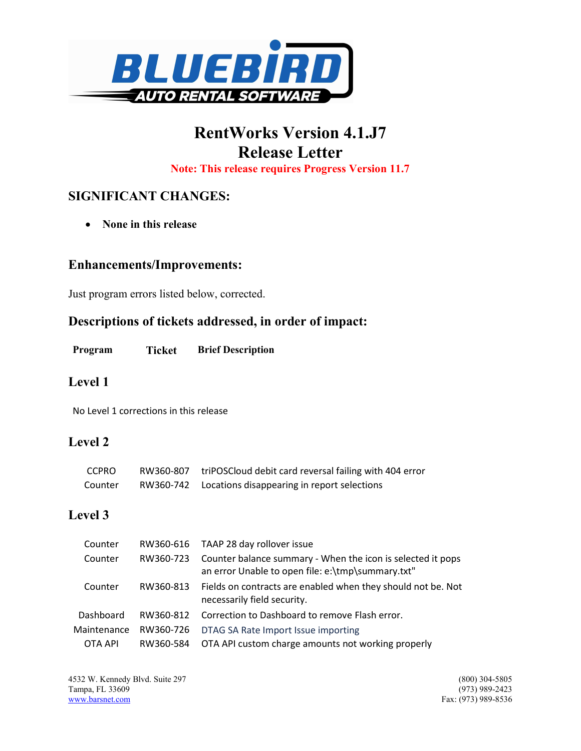

# RentWorks Version 4.1.J7 Release Letter

Note: This release requires Progress Version 11.7

## SIGNIFICANT CHANGES:

• None in this release

#### Enhancements/Improvements:

Just program errors listed below, corrected.

#### Descriptions of tickets addressed, in order of impact:

| Ticket<br>Program | <b>Brief Description</b> |
|-------------------|--------------------------|
|-------------------|--------------------------|

#### Level 1

No Level 1 corrections in this release

#### Level 2

| <b>CCPRO</b> | RW360-807 | triPOSCloud debit card reversal failing with 404 error |
|--------------|-----------|--------------------------------------------------------|
| Counter      | RW360-742 | Locations disappearing in report selections            |

### Level 3

| Counter     |           | RW360-616 TAAP 28 day rollover issue                                                                             |
|-------------|-----------|------------------------------------------------------------------------------------------------------------------|
| Counter     | RW360-723 | Counter balance summary - When the icon is selected it pops<br>an error Unable to open file: e:\tmp\summary.txt" |
| Counter     | RW360-813 | Fields on contracts are enabled when they should not be. Not<br>necessarily field security.                      |
| Dashboard   | RW360-812 | Correction to Dashboard to remove Flash error.                                                                   |
| Maintenance | RW360-726 | DTAG SA Rate Import Issue importing                                                                              |
| OTA API     | RW360-584 | OTA API custom charge amounts not working properly                                                               |